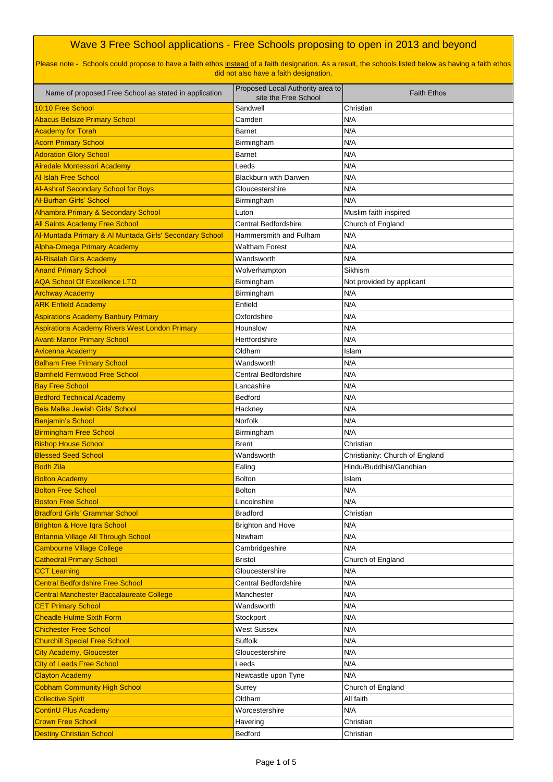| Name of proposed Free School as stated in application   | Proposed Local Authority area to<br>site the Free School | <b>Faith Ethos</b>              |
|---------------------------------------------------------|----------------------------------------------------------|---------------------------------|
| 10:10 Free School                                       | Sandwell                                                 | Christian                       |
| <b>Abacus Belsize Primary School</b>                    | Camden                                                   | N/A                             |
| <b>Academy for Torah</b>                                | <b>Barnet</b>                                            | N/A                             |
| <b>Acorn Primary School</b>                             | Birmingham                                               | N/A                             |
| <b>Adoration Glory School</b>                           | <b>Barnet</b>                                            | N/A                             |
| Airedale Montessori Academy                             | Leeds                                                    | N/A                             |
| <b>Al Islah Free School</b>                             | <b>Blackburn with Darwen</b>                             | N/A                             |
| <b>Al-Ashraf Secondary School for Boys</b>              | Gloucestershire                                          | N/A                             |
| <b>Al-Burhan Girls' School</b>                          | Birmingham                                               | N/A                             |
| <b>Alhambra Primary &amp; Secondary School</b>          | Luton                                                    | Muslim faith inspired           |
| <b>All Saints Academy Free School</b>                   | <b>Central Bedfordshire</b>                              | Church of England               |
| Al-Muntada Primary & Al Muntada Girls' Secondary School | Hammersmith and Fulham                                   | N/A                             |
| <b>Alpha-Omega Primary Academy</b>                      | <b>Waltham Forest</b>                                    | N/A                             |
| <b>Al-Risalah Girls Academy</b>                         | Wandsworth                                               | N/A                             |
| <b>Anand Primary School</b>                             | Wolverhampton                                            | Sikhism                         |
| <b>AQA School Of Excellence LTD</b>                     | Birmingham                                               | Not provided by applicant       |
| <b>Archway Academy</b>                                  | Birmingham                                               | N/A                             |
| <b>ARK Enfield Academy</b>                              | Enfield                                                  | N/A                             |
| <b>Aspirations Academy Banbury Primary</b>              | Oxfordshire                                              | N/A                             |
| <b>Aspirations Academy Rivers West London Primary</b>   | Hounslow                                                 | N/A                             |
| <b>Avanti Manor Primary School</b>                      | Hertfordshire                                            | N/A                             |
| <b>Avicenna Academy</b>                                 | Oldham                                                   | Islam                           |
| <b>Balham Free Primary School</b>                       | Wandsworth                                               | N/A                             |
| <b>Barnfield Fernwood Free School</b>                   | <b>Central Bedfordshire</b>                              | N/A                             |
| <b>Bay Free School</b>                                  | Lancashire                                               | N/A                             |
| <b>Bedford Technical Academy</b>                        | <b>Bedford</b>                                           | N/A                             |
| <b>Beis Malka Jewish Girls' School</b>                  | Hackney                                                  | N/A                             |
| <b>Benjamin's School</b>                                | <b>Norfolk</b>                                           | N/A                             |
| <b>Birmingham Free School</b>                           | Birmingham                                               | N/A                             |
| <b>Bishop House School</b>                              | <b>Brent</b>                                             | Christian                       |
| <b>Blessed Seed School</b>                              | Wandsworth                                               | Christianity: Church of England |
| <b>Bodh Zila</b>                                        | Ealing                                                   | Hindu/Buddhist/Gandhian         |
| <b>Bolton Academy</b>                                   | <b>Bolton</b>                                            | Islam                           |
| <b>Bolton Free School</b>                               | <b>Bolton</b>                                            | N/A                             |
| <b>Boston Free School</b>                               | Lincolnshire                                             | N/A                             |
| <b>Bradford Girls' Grammar School</b>                   | <b>Bradford</b>                                          | Christian                       |
| <b>Brighton &amp; Hove Igra School</b>                  | <b>Brighton and Hove</b>                                 | N/A                             |
| Britannia Village All Through School                    | Newham                                                   | N/A                             |
| <b>Cambourne Village College</b>                        | Cambridgeshire                                           | N/A                             |
| <b>Cathedral Primary School</b>                         | <b>Bristol</b>                                           | Church of England               |
| <b>CCT Learning</b>                                     | Gloucestershire                                          | N/A                             |
| <b>Central Bedfordshire Free School</b>                 | <b>Central Bedfordshire</b>                              | N/A                             |
| Central Manchester Baccalaureate College                | Manchester                                               | N/A                             |
| <b>CET Primary School</b>                               | Wandsworth                                               | N/A                             |
| <b>Cheadle Hulme Sixth Form</b>                         | Stockport                                                | N/A                             |
| <b>Chichester Free School</b>                           | <b>West Sussex</b>                                       | N/A                             |
| <b>Churchill Special Free School</b>                    | <b>Suffolk</b>                                           | N/A                             |
| <b>City Academy, Gloucester</b>                         | Gloucestershire                                          | N/A                             |
| <b>City of Leeds Free School</b>                        | Leeds                                                    | N/A                             |
| <b>Clayton Academy</b>                                  | Newcastle upon Tyne                                      | N/A                             |
| <b>Cobham Community High School</b>                     | Surrey                                                   | Church of England               |
| <b>Collective Spirit</b>                                | Oldham                                                   | All faith                       |
| <b>ContinU Plus Academy</b>                             | Worcestershire                                           | N/A                             |
| <b>Crown Free School</b>                                | Havering                                                 | Christian                       |
| <b>Destiny Christian School</b>                         | <b>Bedford</b>                                           | Christian                       |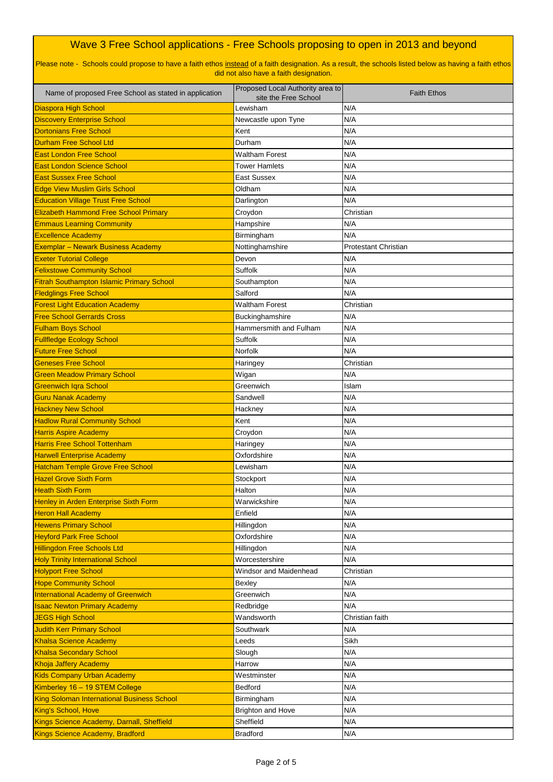| Name of proposed Free School as stated in application | Proposed Local Authority area to<br>site the Free School | <b>Faith Ethos</b>          |
|-------------------------------------------------------|----------------------------------------------------------|-----------------------------|
| <b>Diaspora High School</b>                           | Lewisham                                                 | N/A                         |
| <b>Discovery Enterprise School</b>                    | Newcastle upon Tyne                                      | N/A                         |
| <b>Dortonians Free School</b>                         | Kent                                                     | N/A                         |
| <b>Durham Free School Ltd</b>                         | Durham                                                   | N/A                         |
| <b>East London Free School</b>                        | <b>Waltham Forest</b>                                    | N/A                         |
| <b>East London Science School</b>                     | <b>Tower Hamlets</b>                                     | N/A                         |
| <b>East Sussex Free School</b>                        | <b>East Sussex</b>                                       | N/A                         |
| <b>Edge View Muslim Girls School</b>                  | Oldham                                                   | N/A                         |
| <b>Education Village Trust Free School</b>            | Darlington                                               | N/A                         |
| <b>Elizabeth Hammond Free School Primary</b>          | Croydon                                                  | Christian                   |
| <b>Emmaus Learning Community</b>                      | Hampshire                                                | N/A                         |
| <b>Excellence Academy</b>                             | Birmingham                                               | N/A                         |
| <b>Exemplar - Newark Business Academy</b>             | Nottinghamshire                                          | <b>Protestant Christian</b> |
| <b>Exeter Tutorial College</b>                        | Devon                                                    | N/A                         |
| <b>Felixstowe Community School</b>                    | <b>Suffolk</b>                                           | N/A                         |
| <b>Fitrah Southampton Islamic Primary School</b>      | Southampton                                              | N/A                         |
| <b>Fledglings Free School</b>                         | Salford                                                  | N/A                         |
| <b>Forest Light Education Academy</b>                 | <b>Waltham Forest</b>                                    | Christian                   |
| <b>Free School Gerrards Cross</b>                     | Buckinghamshire                                          | N/A                         |
| <b>Fulham Boys School</b>                             | Hammersmith and Fulham                                   | N/A                         |
| <b>Fullfledge Ecology School</b>                      | <b>Suffolk</b>                                           | N/A                         |
| <b>Future Free School</b>                             | Norfolk                                                  | N/A                         |
| <b>Geneses Free School</b>                            | Haringey                                                 | Christian                   |
| <b>Green Meadow Primary School</b>                    | Wigan                                                    | N/A                         |
| <b>Greenwich Iqra School</b>                          | Greenwich                                                | Islam                       |
| <b>Guru Nanak Academy</b>                             | Sandwell                                                 | N/A                         |
| <b>Hackney New School</b>                             | Hackney                                                  | N/A                         |
| <b>Hadlow Rural Community School</b>                  | Kent                                                     | N/A                         |
| <b>Harris Aspire Academy</b>                          | Croydon                                                  | N/A                         |
| <b>Harris Free School Tottenham</b>                   | Haringey                                                 | N/A                         |
| <b>Harwell Enterprise Academy</b>                     | Oxfordshire                                              | N/A                         |
| <b>Hatcham Temple Grove Free School</b>               | Lewisham                                                 | N/A                         |
| <b>Hazel Grove Sixth Form</b>                         | Stockport                                                | N/A                         |
| <b>Heath Sixth Form</b>                               | Halton                                                   | N/A                         |
| Henley in Arden Enterprise Sixth Form                 | Warwickshire                                             | N/A                         |
| <b>Heron Hall Academy</b>                             | Enfield                                                  | N/A                         |
| <b>Hewens Primary School</b>                          | Hillingdon                                               | N/A                         |
| <b>Heyford Park Free School</b>                       | Oxfordshire                                              | N/A                         |
| <b>Hillingdon Free Schools Ltd</b>                    | Hillingdon                                               | N/A                         |
| <b>Holy Trinity International School</b>              | Worcestershire                                           | N/A                         |
| <b>Holyport Free School</b>                           | <b>Windsor and Maidenhead</b>                            | Christian                   |
| <b>Hope Community School</b>                          | Bexley                                                   | N/A                         |
| <b>International Academy of Greenwich</b>             | Greenwich                                                | N/A                         |
| <b>Isaac Newton Primary Academy</b>                   | Redbridge                                                | N/A                         |
| JEGS High School                                      | Wandsworth                                               | Christian faith             |
| <b>Judith Kerr Primary School</b>                     | Southwark                                                | N/A                         |
| <b>Khalsa Science Academy</b>                         | Leeds                                                    | Sikh                        |
| <b>Khalsa Secondary School</b>                        | Slough                                                   | N/A                         |
| <b>Khoja Jaffery Academy</b>                          | Harrow                                                   | N/A                         |
| <b>Kids Company Urban Academy</b>                     | Westminster                                              | N/A                         |
| Kimberley 16 - 19 STEM College                        | Bedford                                                  | N/A                         |
| King Soloman International Business School            | Birmingham                                               | N/A                         |
| King's School, Hove                                   | <b>Brighton and Hove</b>                                 | N/A                         |
| Kings Science Academy, Darnall, Sheffield             | Sheffield                                                | N/A                         |
| Kings Science Academy, Bradford                       | <b>Bradford</b>                                          | N/A                         |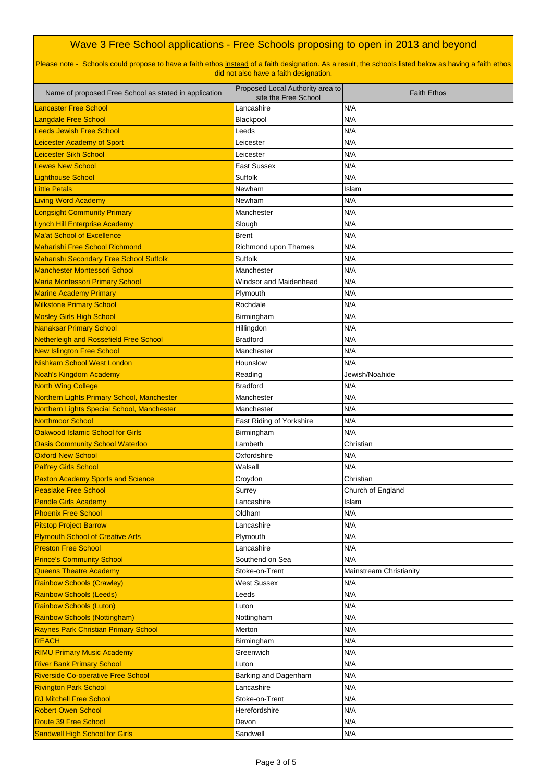| Name of proposed Free School as stated in application     | Proposed Local Authority area to   | <b>Faith Ethos</b>         |
|-----------------------------------------------------------|------------------------------------|----------------------------|
| <b>Lancaster Free School</b>                              | site the Free School<br>Lancashire | N/A                        |
| <b>Langdale Free School</b>                               | Blackpool                          | N/A                        |
| <b>Leeds Jewish Free School</b>                           | Leeds                              | N/A                        |
| <b>Leicester Academy of Sport</b>                         | Leicester                          | N/A                        |
| Leicester Sikh School                                     | Leicester                          | N/A                        |
| <b>Lewes New School</b>                                   | <b>East Sussex</b>                 | N/A                        |
| <b>Lighthouse School</b>                                  | <b>Suffolk</b>                     | N/A                        |
| <b>Little Petals</b>                                      | Newham                             | Islam                      |
| <b>Living Word Academy</b>                                | Newham                             | N/A                        |
| <b>Longsight Community Primary</b>                        | Manchester                         | N/A                        |
| <b>Lynch Hill Enterprise Academy</b>                      | Slough                             | N/A                        |
| <b>Ma'at School of Excellence</b>                         | <b>Brent</b>                       | N/A                        |
| <b>Maharishi Free School Richmond</b>                     | Richmond upon Thames               | N/A                        |
| <b>Maharishi Secondary Free School Suffolk</b>            | <b>Suffolk</b>                     | N/A                        |
| <b>Manchester Montessori School</b>                       | Manchester                         | N/A                        |
| <b>Maria Montessori Primary School</b>                    | <b>Windsor and Maidenhead</b>      | N/A                        |
| <b>Marine Academy Primary</b>                             | Plymouth                           | N/A                        |
| <b>Milkstone Primary School</b>                           | Rochdale                           | N/A                        |
| <b>Mosley Girls High School</b>                           | Birmingham                         | N/A                        |
| Nanaksar Primary School                                   | Hillingdon                         | N/A                        |
| Netherleigh and Rossefield Free School                    | <b>Bradford</b>                    | N/A                        |
| New Islington Free School                                 | Manchester                         | N/A                        |
| Nishkam School West London                                | Hounslow                           | N/A                        |
| Noah's Kingdom Academy                                    | Reading                            | Jewish/Noahide             |
| <b>North Wing College</b>                                 | <b>Bradford</b>                    | N/A                        |
| Northern Lights Primary School, Manchester                | Manchester                         | N/A                        |
| Northern Lights Special School, Manchester                | Manchester                         | N/A                        |
| Northmoor School                                          | East Riding of Yorkshire           | N/A                        |
| Oakwood Islamic School for Girls                          | Birmingham                         | N/A                        |
| <b>Oasis Community School Waterloo</b>                    | Lambeth                            | Christian                  |
| <b>Oxford New School</b>                                  | Oxfordshire                        | N/A                        |
| <b>Palfrey Girls School</b>                               | Walsall                            | N/A                        |
| <b>Paxton Academy Sports and Science</b>                  | Croydon                            | Christian                  |
| <b>Peaslake Free School</b>                               | Surrey<br>Lancashire               | Church of England<br>Islam |
| <b>Pendle Girls Academy</b><br><b>Phoenix Free School</b> | Oldham                             | N/A                        |
| <b>Pitstop Project Barrow</b>                             | Lancashire                         | N/A                        |
| <b>Plymouth School of Creative Arts</b>                   | Plymouth                           | N/A                        |
| <b>Preston Free School</b>                                | Lancashire                         | N/A                        |
| <b>Prince's Community School</b>                          | Southend on Sea                    | N/A                        |
| Queens Theatre Academy                                    | Stoke-on-Trent                     | Mainstream Christianity    |
| <b>Rainbow Schools (Crawley)</b>                          | <b>West Sussex</b>                 | N/A                        |
| <b>Rainbow Schools (Leeds)</b>                            | Leeds                              | N/A                        |
| <b>Rainbow Schools (Luton)</b>                            | Luton                              | N/A                        |
| <b>Rainbow Schools (Nottingham)</b>                       | Nottingham                         | N/A                        |
| <b>Raynes Park Christian Primary School</b>               | Merton                             | N/A                        |
| <b>REACH</b>                                              | Birmingham                         | N/A                        |
| <b>RIMU Primary Music Academy</b>                         | Greenwich                          | N/A                        |
| <b>River Bank Primary School</b>                          | Luton                              | N/A                        |
| <b>Riverside Co-operative Free School</b>                 | Barking and Dagenham               | N/A                        |
| <b>Rivington Park School</b>                              | Lancashire                         | N/A                        |
| <b>RJ Mitchell Free School</b>                            | Stoke-on-Trent                     | N/A                        |
| <b>Robert Owen School</b>                                 | Herefordshire                      | N/A                        |
| <b>Route 39 Free School</b>                               | Devon                              | N/A                        |
| <b>Sandwell High School for Girls</b>                     | Sandwell                           | N/A                        |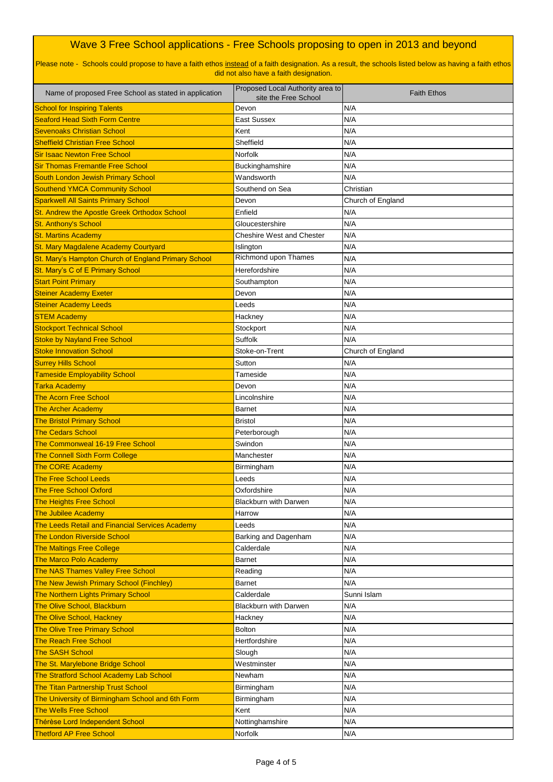| Name of proposed Free School as stated in application | Proposed Local Authority area to<br>site the Free School | <b>Faith Ethos</b> |
|-------------------------------------------------------|----------------------------------------------------------|--------------------|
| <b>School for Inspiring Talents</b>                   | Devon                                                    | N/A                |
| <b>Seaford Head Sixth Form Centre</b>                 | <b>East Sussex</b>                                       | N/A                |
| <b>Sevenoaks Christian School</b>                     | Kent                                                     | N/A                |
| <b>Sheffield Christian Free School</b>                | Sheffield                                                | N/A                |
| <b>Sir Isaac Newton Free School</b>                   | Norfolk                                                  | N/A                |
| <b>Sir Thomas Fremantle Free School</b>               | Buckinghamshire                                          | N/A                |
| <b>South London Jewish Primary School</b>             | Wandsworth                                               | N/A                |
| <b>Southend YMCA Community School</b>                 | Southend on Sea                                          | Christian          |
| <b>Sparkwell All Saints Primary School</b>            | Devon                                                    | Church of England  |
| St. Andrew the Apostle Greek Orthodox School          | Enfield                                                  | N/A                |
| <b>St. Anthony's School</b>                           | Gloucestershire                                          | N/A                |
| <b>St. Martins Academy</b>                            | <b>Cheshire West and Chester</b>                         | N/A                |
| St. Mary Magdalene Academy Courtyard                  | Islington                                                | N/A                |
| St. Mary's Hampton Church of England Primary School   | <b>Richmond upon Thames</b>                              | N/A                |
| St. Mary's C of E Primary School                      | Herefordshire                                            | N/A                |
| <b>Start Point Primary</b>                            | Southampton                                              | N/A                |
| <b>Steiner Academy Exeter</b>                         | Devon                                                    | N/A                |
| <b>Steiner Academy Leeds</b>                          | Leeds                                                    | N/A                |
| <b>STEM Academy</b>                                   | Hackney                                                  | N/A                |
| <b>Stockport Technical School</b>                     | Stockport                                                | N/A                |
| <b>Stoke by Nayland Free School</b>                   | <b>Suffolk</b>                                           | N/A                |
| <b>Stoke Innovation School</b>                        | Stoke-on-Trent                                           | Church of England  |
| <b>Surrey Hills School</b>                            | Sutton                                                   | N/A                |
| <b>Tameside Employability School</b>                  | Tameside                                                 | N/A                |
| <b>Tarka Academy</b>                                  | Devon                                                    | N/A                |
| <b>The Acorn Free School</b>                          | Lincolnshire                                             | N/A                |
| <b>The Archer Academy</b>                             | <b>Barnet</b>                                            | N/A                |
| <b>The Bristol Primary School</b>                     | <b>Bristol</b>                                           | N/A                |
| <b>The Cedars School</b>                              | Peterborough                                             | N/A                |
| The Commonweal 16-19 Free School                      | Swindon                                                  | N/A                |
| <b>The Connell Sixth Form College</b>                 | Manchester                                               | N/A                |
| The CORE Academy                                      | Birmingham                                               | N/A                |
| <b>The Free School Leeds</b>                          | Leeds                                                    | N/A                |
| <b>The Free School Oxford</b>                         | Oxfordshire                                              | N/A                |
| <b>The Heights Free School</b>                        | <b>Blackburn with Darwen</b>                             | N/A                |
| <b>The Jubilee Academy</b>                            | Harrow                                                   | N/A                |
| The Leeds Retail and Financial Services Academy       | Leeds                                                    | N/A                |
| <b>The London Riverside School</b>                    | Barking and Dagenham                                     | N/A                |
| <b>The Maltings Free College</b>                      | Calderdale                                               | N/A                |
| <b>The Marco Polo Academy</b>                         | Barnet                                                   | N/A                |
| <b>The NAS Thames Valley Free School</b>              | Reading                                                  | N/A                |
| The New Jewish Primary School (Finchley)              | <b>Barnet</b>                                            | N/A                |
| The Northern Lights Primary School                    | Calderdale                                               | Sunni Islam        |
| The Olive School, Blackburn                           | <b>Blackburn with Darwen</b>                             | N/A                |
| <b>The Olive School, Hackney</b>                      | Hackney                                                  | N/A                |
| <b>The Olive Tree Primary School</b>                  | <b>Bolton</b>                                            | N/A                |
| <b>The Reach Free School</b>                          | Hertfordshire                                            | N/A                |
| <b>The SASH School</b>                                | Slough                                                   | N/A                |
| The St. Marylebone Bridge School                      | Westminster                                              | N/A                |
| The Stratford School Academy Lab School               | Newham                                                   | N/A                |
| <b>The Titan Partnership Trust School</b>             | Birmingham                                               | N/A                |
| The University of Birmingham School and 6th Form      | Birmingham                                               | N/A                |
| <b>The Wells Free School</b>                          | Kent                                                     | N/A                |
| Thérèse Lord Independent School                       | Nottinghamshire                                          | N/A                |
| <b>Thetford AP Free School</b>                        | Norfolk                                                  | N/A                |